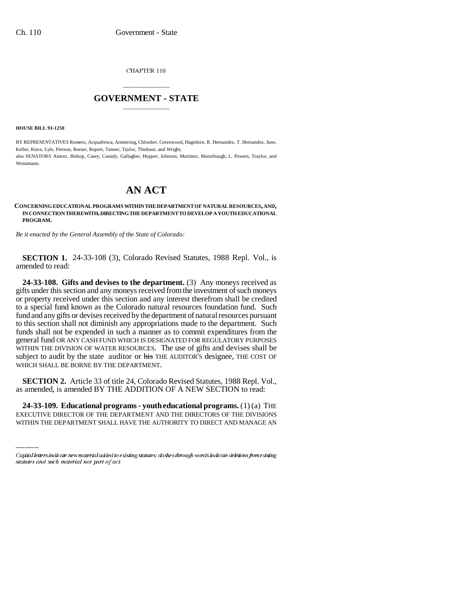CHAPTER 110

## \_\_\_\_\_\_\_\_\_\_\_\_\_\_\_ **GOVERNMENT - STATE** \_\_\_\_\_\_\_\_\_\_\_\_\_\_\_

**HOUSE BILL 93-1250**

BY REPRESENTATIVES Romero, Acquafresca, Armstrong, Chlouber, Greenwood, Hagedorn, R. Hernandez, T. Hernandez, June, Keller, Knox, Lyle, Pierson, Reeser, Rupert, Tanner, Taylor, Thiebaut, and Wright; also SENATORS Ament, Bishop, Casey, Cassidy, Gallagher, Hopper, Johnson, Martinez, Mutzebaugh, L. Powers, Traylor, and Weissmann.

## **AN ACT**

## **CONCERNING EDUCATIONAL PROGRAMS WITHIN THE DEPARTMENT OF NATURAL RESOURCES, AND, IN CONNECTION THEREWITH, DIRECTING THE DEPARTMENT TO DEVELOP A YOUTH EDUCATIONAL PROGRAM.**

*Be it enacted by the General Assembly of the State of Colorado:*

**SECTION 1.** 24-33-108 (3), Colorado Revised Statutes, 1988 Repl. Vol., is amended to read:

**24-33-108. Gifts and devises to the department.** (3) Any moneys received as gifts under this section and any moneys received from the investment of such moneys or property received under this section and any interest therefrom shall be credited to a special fund known as the Colorado natural resources foundation fund. Such fund and any gifts or devises received by the department of natural resources pursuant to this section shall not diminish any appropriations made to the department. Such funds shall not be expended in such a manner as to commit expenditures from the general fund OR ANY CASH FUND WHICH IS DESIGNATED FOR REGULATORY PURPOSES WITHIN THE DIVISION OF WATER RESOURCES. The use of gifts and devises shall be subject to audit by the state auditor or his THE AUDITOR'S designee, THE COST OF WHICH SHALL BE BORNE BY THE DEPARTMENT.

as amended, is amended BY THE ADDITION OF A NEW SECTION to read: **SECTION 2.** Article 33 of title 24, Colorado Revised Statutes, 1988 Repl. Vol.,

**24-33-109. Educational programs - youth educational programs.** (1) (a) THE EXECUTIVE DIRECTOR OF THE DEPARTMENT AND THE DIRECTORS OF THE DIVISIONS WITHIN THE DEPARTMENT SHALL HAVE THE AUTHORITY TO DIRECT AND MANAGE AN

Capital letters indicate new material added to existing statutes; dashes through words indicate deletions from existing statutes and such material not part of act.